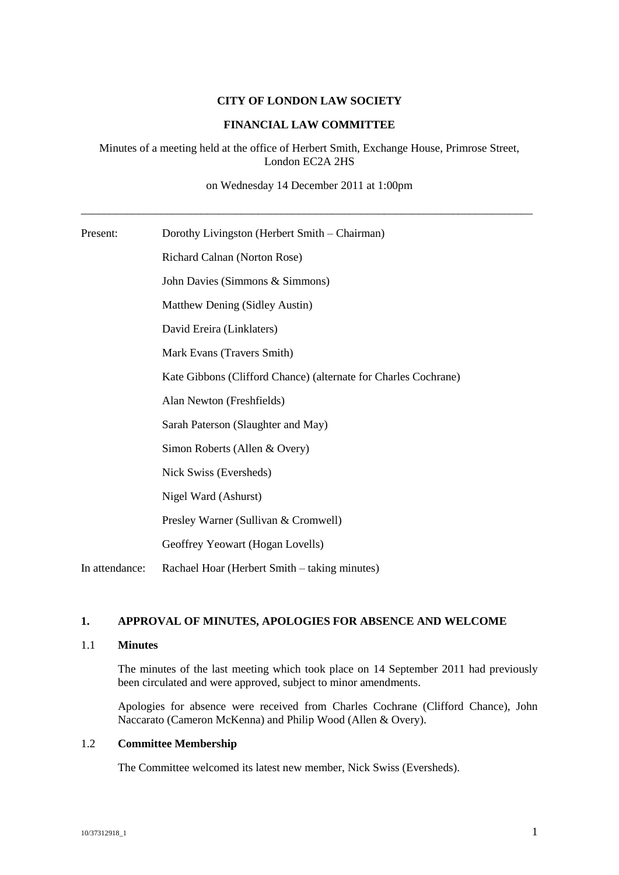## **CITY OF LONDON LAW SOCIETY**

## **FINANCIAL LAW COMMITTEE**

# Minutes of a meeting held at the office of Herbert Smith, Exchange House, Primrose Street, London EC2A 2HS

on Wednesday 14 December 2011 at 1:00pm

\_\_\_\_\_\_\_\_\_\_\_\_\_\_\_\_\_\_\_\_\_\_\_\_\_\_\_\_\_\_\_\_\_\_\_\_\_\_\_\_\_\_\_\_\_\_\_\_\_\_\_\_\_\_\_\_\_\_\_\_\_\_\_\_\_\_\_\_\_\_\_\_\_\_\_\_\_\_\_

| Present:       | Dorothy Livingston (Herbert Smith – Chairman)                   |
|----------------|-----------------------------------------------------------------|
|                | Richard Calnan (Norton Rose)                                    |
|                | John Davies (Simmons & Simmons)                                 |
|                | Matthew Dening (Sidley Austin)                                  |
|                | David Ereira (Linklaters)                                       |
|                | Mark Evans (Travers Smith)                                      |
|                | Kate Gibbons (Clifford Chance) (alternate for Charles Cochrane) |
|                | Alan Newton (Freshfields)                                       |
|                | Sarah Paterson (Slaughter and May)                              |
|                | Simon Roberts (Allen & Overy)                                   |
|                | Nick Swiss (Eversheds)                                          |
|                | Nigel Ward (Ashurst)                                            |
|                | Presley Warner (Sullivan & Cromwell)                            |
|                | Geoffrey Yeowart (Hogan Lovells)                                |
| In attendance: | Rachael Hoar (Herbert Smith – taking minutes)                   |

# **1. APPROVAL OF MINUTES, APOLOGIES FOR ABSENCE AND WELCOME**

### 1.1 **Minutes**

The minutes of the last meeting which took place on 14 September 2011 had previously been circulated and were approved, subject to minor amendments.

Apologies for absence were received from Charles Cochrane (Clifford Chance), John Naccarato (Cameron McKenna) and Philip Wood (Allen & Overy).

# 1.2 **Committee Membership**

The Committee welcomed its latest new member, Nick Swiss (Eversheds).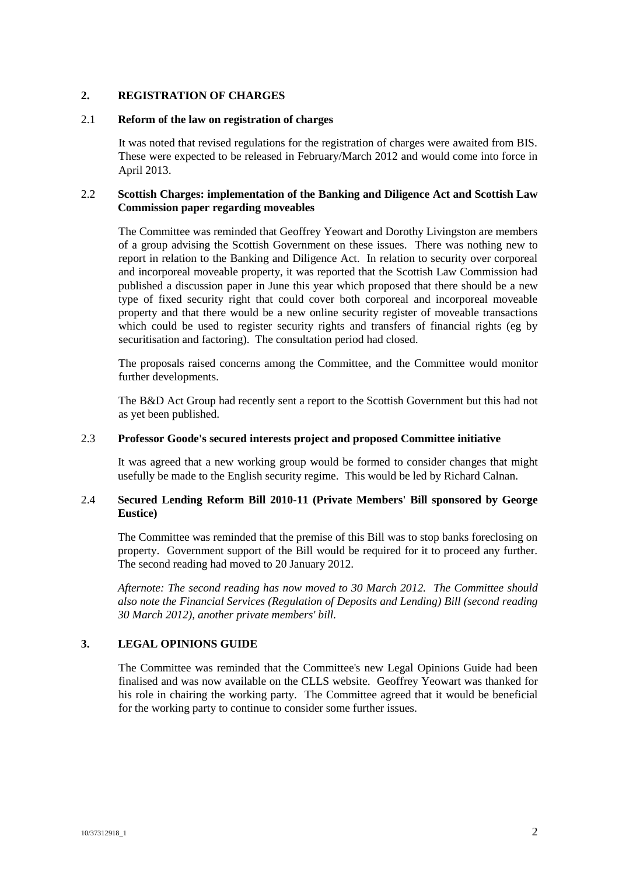## **2. REGISTRATION OF CHARGES**

#### 2.1 **Reform of the law on registration of charges**

It was noted that revised regulations for the registration of charges were awaited from BIS. These were expected to be released in February/March 2012 and would come into force in April 2013.

## 2.2 **Scottish Charges: implementation of the Banking and Diligence Act and Scottish Law Commission paper regarding moveables**

The Committee was reminded that Geoffrey Yeowart and Dorothy Livingston are members of a group advising the Scottish Government on these issues. There was nothing new to report in relation to the Banking and Diligence Act. In relation to security over corporeal and incorporeal moveable property, it was reported that the Scottish Law Commission had published a discussion paper in June this year which proposed that there should be a new type of fixed security right that could cover both corporeal and incorporeal moveable property and that there would be a new online security register of moveable transactions which could be used to register security rights and transfers of financial rights (eg by securitisation and factoring). The consultation period had closed.

The proposals raised concerns among the Committee, and the Committee would monitor further developments.

The B&D Act Group had recently sent a report to the Scottish Government but this had not as yet been published.

### 2.3 **Professor Goode's secured interests project and proposed Committee initiative**

It was agreed that a new working group would be formed to consider changes that might usefully be made to the English security regime. This would be led by Richard Calnan.

## 2.4 **Secured Lending Reform Bill 2010-11 (Private Members' Bill sponsored by George Eustice)**

The Committee was reminded that the premise of this Bill was to stop banks foreclosing on property. Government support of the Bill would be required for it to proceed any further. The second reading had moved to 20 January 2012.

*Afternote: The second reading has now moved to 30 March 2012. The Committee should also note the Financial Services (Regulation of Deposits and Lending) Bill (second reading 30 March 2012), another private members' bill.*

## **3. LEGAL OPINIONS GUIDE**

The Committee was reminded that the Committee's new Legal Opinions Guide had been finalised and was now available on the CLLS website. Geoffrey Yeowart was thanked for his role in chairing the working party. The Committee agreed that it would be beneficial for the working party to continue to consider some further issues.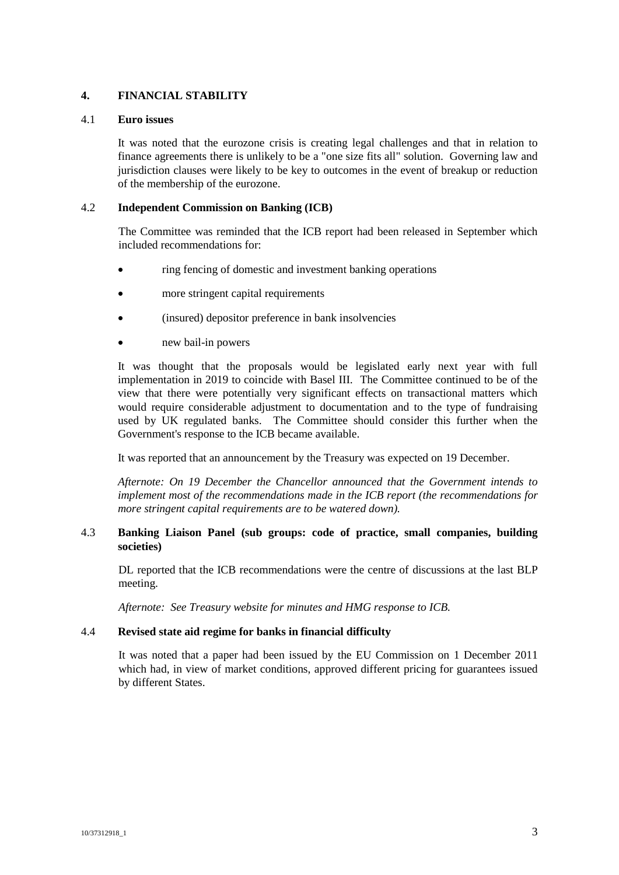# **4. FINANCIAL STABILITY**

#### 4.1 **Euro issues**

It was noted that the eurozone crisis is creating legal challenges and that in relation to finance agreements there is unlikely to be a "one size fits all" solution. Governing law and jurisdiction clauses were likely to be key to outcomes in the event of breakup or reduction of the membership of the eurozone.

#### 4.2 **Independent Commission on Banking (ICB)**

The Committee was reminded that the ICB report had been released in September which included recommendations for:

- ring fencing of domestic and investment banking operations
- more stringent capital requirements
- (insured) depositor preference in bank insolvencies
- new bail-in powers

It was thought that the proposals would be legislated early next year with full implementation in 2019 to coincide with Basel III. The Committee continued to be of the view that there were potentially very significant effects on transactional matters which would require considerable adjustment to documentation and to the type of fundraising used by UK regulated banks. The Committee should consider this further when the Government's response to the ICB became available.

It was reported that an announcement by the Treasury was expected on 19 December.

*Afternote: On 19 December the Chancellor announced that the Government intends to implement most of the recommendations made in the ICB report (the recommendations for more stringent capital requirements are to be watered down).*

## 4.3 **Banking Liaison Panel (sub groups: code of practice, small companies, building societies)**

DL reported that the ICB recommendations were the centre of discussions at the last BLP meeting.

*Afternote: See Treasury website for minutes and HMG response to ICB.*

## 4.4 **Revised state aid regime for banks in financial difficulty**

It was noted that a paper had been issued by the EU Commission on 1 December 2011 which had, in view of market conditions, approved different pricing for guarantees issued by different States.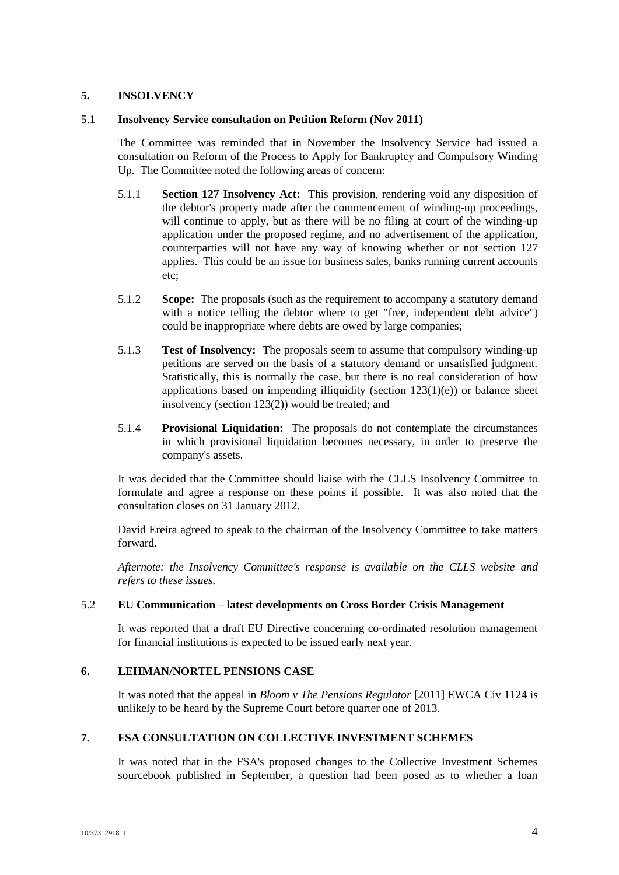## **5. INSOLVENCY**

#### 5.1 **Insolvency Service consultation on Petition Reform (Nov 2011)**

The Committee was reminded that in November the Insolvency Service had issued a consultation on Reform of the Process to Apply for Bankruptcy and Compulsory Winding Up. The Committee noted the following areas of concern:

- 5.1.1 **Section 127 Insolvency Act:** This provision, rendering void any disposition of the debtor's property made after the commencement of winding-up proceedings, will continue to apply, but as there will be no filing at court of the winding-up application under the proposed regime, and no advertisement of the application, counterparties will not have any way of knowing whether or not section 127 applies. This could be an issue for business sales, banks running current accounts etc;
- 5.1.2 **Scope:** The proposals (such as the requirement to accompany a statutory demand with a notice telling the debtor where to get "free, independent debt advice") could be inappropriate where debts are owed by large companies;
- 5.1.3 **Test of Insolvency:** The proposals seem to assume that compulsory winding-up petitions are served on the basis of a statutory demand or unsatisfied judgment. Statistically, this is normally the case, but there is no real consideration of how applications based on impending illiquidity (section  $123(1)(e)$ ) or balance sheet insolvency (section 123(2)) would be treated; and
- 5.1.4 **Provisional Liquidation:** The proposals do not contemplate the circumstances in which provisional liquidation becomes necessary, in order to preserve the company's assets.

It was decided that the Committee should liaise with the CLLS Insolvency Committee to formulate and agree a response on these points if possible. It was also noted that the consultation closes on 31 January 2012.

David Ereira agreed to speak to the chairman of the Insolvency Committee to take matters forward.

*Afternote: the Insolvency Committee's response is available on the CLLS website and refers to these issues.*

## 5.2 **EU Communication – latest developments on Cross Border Crisis Management**

It was reported that a draft EU Directive concerning co-ordinated resolution management for financial institutions is expected to be issued early next year.

## **6. LEHMAN/NORTEL PENSIONS CASE**

It was noted that the appeal in *Bloom v The Pensions Regulator* [2011] EWCA Civ 1124 is unlikely to be heard by the Supreme Court before quarter one of 2013.

## **7. FSA CONSULTATION ON COLLECTIVE INVESTMENT SCHEMES**

It was noted that in the FSA's proposed changes to the Collective Investment Schemes sourcebook published in September, a question had been posed as to whether a loan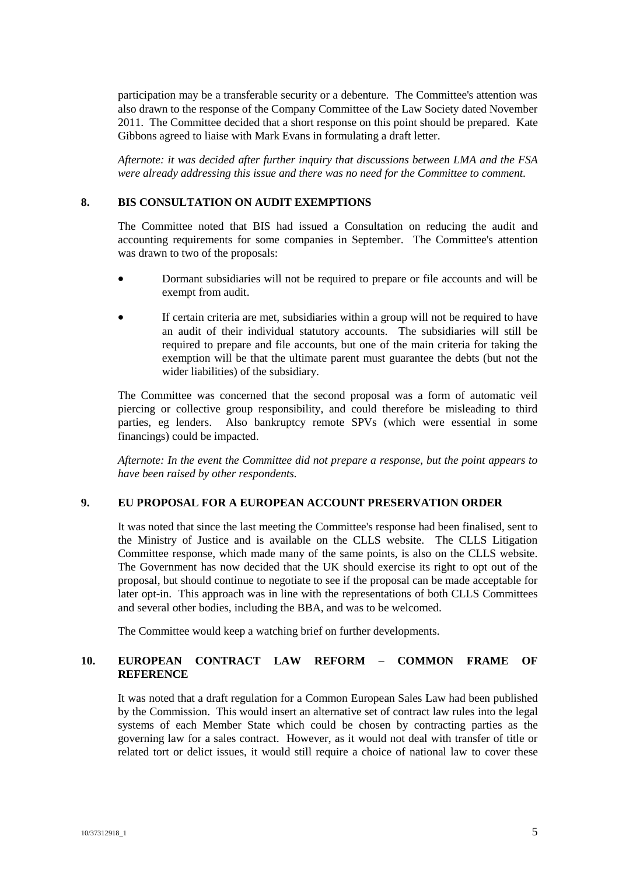participation may be a transferable security or a debenture. The Committee's attention was also drawn to the response of the Company Committee of the Law Society dated November 2011. The Committee decided that a short response on this point should be prepared. Kate Gibbons agreed to liaise with Mark Evans in formulating a draft letter.

*Afternote: it was decided after further inquiry that discussions between LMA and the FSA were already addressing this issue and there was no need for the Committee to comment.*

## **8. BIS CONSULTATION ON AUDIT EXEMPTIONS**

The Committee noted that BIS had issued a Consultation on reducing the audit and accounting requirements for some companies in September. The Committee's attention was drawn to two of the proposals:

- Dormant subsidiaries will not be required to prepare or file accounts and will be exempt from audit.
- If certain criteria are met, subsidiaries within a group will not be required to have an audit of their individual statutory accounts. The subsidiaries will still be required to prepare and file accounts, but one of the main criteria for taking the exemption will be that the ultimate parent must guarantee the debts (but not the wider liabilities) of the subsidiary.

The Committee was concerned that the second proposal was a form of automatic veil piercing or collective group responsibility, and could therefore be misleading to third parties, eg lenders. Also bankruptcy remote SPVs (which were essential in some financings) could be impacted.

*Afternote: In the event the Committee did not prepare a response, but the point appears to have been raised by other respondents.*

## **9. EU PROPOSAL FOR A EUROPEAN ACCOUNT PRESERVATION ORDER**

It was noted that since the last meeting the Committee's response had been finalised, sent to the Ministry of Justice and is available on the CLLS website. The CLLS Litigation Committee response, which made many of the same points, is also on the CLLS website. The Government has now decided that the UK should exercise its right to opt out of the proposal, but should continue to negotiate to see if the proposal can be made acceptable for later opt-in. This approach was in line with the representations of both CLLS Committees and several other bodies, including the BBA, and was to be welcomed.

The Committee would keep a watching brief on further developments.

## **10. EUROPEAN CONTRACT LAW REFORM – COMMON FRAME OF REFERENCE**

It was noted that a draft regulation for a Common European Sales Law had been published by the Commission. This would insert an alternative set of contract law rules into the legal systems of each Member State which could be chosen by contracting parties as the governing law for a sales contract. However, as it would not deal with transfer of title or related tort or delict issues, it would still require a choice of national law to cover these